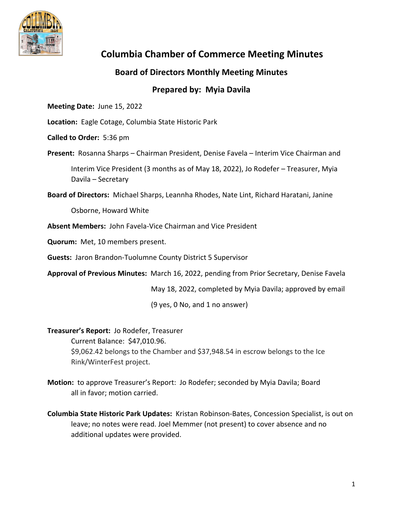

## **Columbia Chamber of Commerce Meeting Minutes**

## **Board of Directors Monthly Meeting Minutes**

## **Prepared by: Myia Davila**

**Meeting Date:** June 15, 2022

**Location:** Eagle Cotage, Columbia State Historic Park

**Called to Order:** 5:36 pm

Present: Rosanna Sharps – Chairman President, Denise Favela – Interim Vice Chairman and Interim Vice President (3 months as of May 18, 2022), Jo Rodefer – Treasurer, Myia Davila – Secretary

**Board of Directors:** Michael Sharps, Leannha Rhodes, Nate Lint, Richard Haratani, Janine

Osborne, Howard White

**Absent Members:** John Favela‐Vice Chairman and Vice President

**Quorum:** Met, 10 members present.

**Guests:** Jaron Brandon‐Tuolumne County District 5 Supervisor

**Approval of Previous Minutes:** March 16, 2022, pending from Prior Secretary, Denise Favela

May 18, 2022, completed by Myia Davila; approved by email

(9 yes, 0 No, and 1 no answer)

## **Treasurer's Report:** Jo Rodefer, Treasurer

Current Balance: \$47,010.96. \$9,062.42 belongs to the Chamber and \$37,948.54 in escrow belongs to the Ice Rink/WinterFest project.

- **Motion:** to approve Treasurer's Report: Jo Rodefer; seconded by Myia Davila; Board all in favor; motion carried.
- **Columbia State Historic Park Updates:** Kristan Robinson‐Bates, Concession Specialist, is out on leave; no notes were read. Joel Memmer (not present) to cover absence and no additional updates were provided.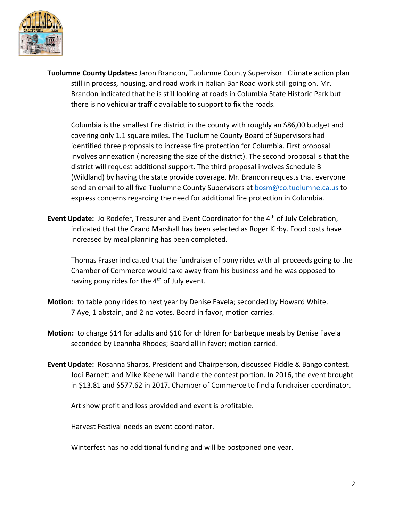

**Tuolumne County Updates:** Jaron Brandon, Tuolumne County Supervisor. Climate action plan still in process, housing, and road work in Italian Bar Road work still going on. Mr. Brandon indicated that he is still looking at roads in Columbia State Historic Park but there is no vehicular traffic available to support to fix the roads.

Columbia is the smallest fire district in the county with roughly an \$86,00 budget and covering only 1.1 square miles. The Tuolumne County Board of Supervisors had identified three proposals to increase fire protection for Columbia. First proposal involves annexation (increasing the size of the district). The second proposal is that the district will request additional support. The third proposal involves Schedule B (Wildland) by having the state provide coverage. Mr. Brandon requests that everyone send an email to all five Tuolumne County Supervisors at bosm@co.tuolumne.ca.us to express concerns regarding the need for additional fire protection in Columbia.

**Event Update:** Jo Rodefer, Treasurer and Event Coordinator for the 4th of July Celebration, indicated that the Grand Marshall has been selected as Roger Kirby. Food costs have increased by meal planning has been completed.

Thomas Fraser indicated that the fundraiser of pony rides with all proceeds going to the Chamber of Commerce would take away from his business and he was opposed to having pony rides for the  $4<sup>th</sup>$  of July event.

- **Motion:** to table pony rides to next year by Denise Favela; seconded by Howard White. 7 Aye, 1 abstain, and 2 no votes. Board in favor, motion carries.
- **Motion:** to charge \$14 for adults and \$10 for children for barbeque meals by Denise Favela seconded by Leannha Rhodes; Board all in favor; motion carried.
- **Event Update:** Rosanna Sharps, President and Chairperson, discussed Fiddle & Bango contest. Jodi Barnett and Mike Keene will handle the contest portion. In 2016, the event brought in \$13.81 and \$577.62 in 2017. Chamber of Commerce to find a fundraiser coordinator.

Art show profit and loss provided and event is profitable.

Harvest Festival needs an event coordinator.

Winterfest has no additional funding and will be postponed one year.